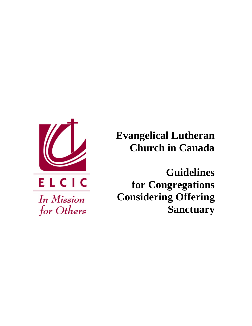

In Mission

for Others

**Evangelical Lutheran Church in Canada** 

**Guidelines for Congregations Considering Offering Sanctuary**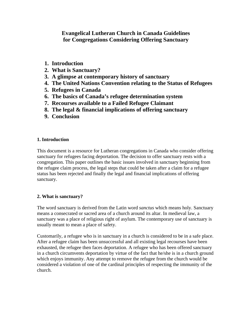**Evangelical Lutheran Church in Canada Guidelines for Congregations Considering Offering Sanctuary** 

- **1. Introduction**
- **2. What is Sanctuary?**
- **3. A glimpse at contemporary history of sanctuary**
- **4. The United Nations Convention relating to the Status of Refugees**
- **5. Refugees in Canada**
- **6. The basics of Canada's refugee determination system**
- **7. Recourses available to a Failed Refugee Claimant**
- **8. The legal & financial implications of offering sanctuary**
- **9. Conclusion**

## **1. Introduction**

This document is a resource for Lutheran congregations in Canada who consider offering sanctuary for refugees facing deportation. The decision to offer sanctuary rests with a congregation. This paper outlines the basic issues involved in sanctuary beginning from the refugee claim process, the legal steps that could be taken after a claim for a refugee status has been rejected and finally the legal and financial implications of offering sanctuary.

## **2. What is sanctuary?**

The word sanctuary is derived from the Latin word *sanctus* which means holy. Sanctuary means a consecrated or sacred area of a church around its altar. In medieval law, a sanctuary was a place of religious right of asylum. The contemporary use of sanctuary is usually meant to mean a place of safety.

Customarily, a refugee who is in sanctuary in a church is considered to be in a safe place. After a refugee claim has been unsuccessful and all existing legal recourses have been exhausted, the refugee then faces deportation. A refugee who has been offered sanctuary in a church circumvents deportation by virtue of the fact that he/she is in a church ground which enjoys immunity. Any attempt to remove the refugee from the church would be considered a violation of one of the cardinal principles of respecting the immunity of the church.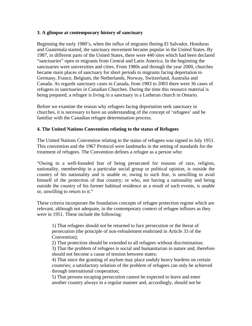#### **3. A glimpse at contemporary history of sanctuary**

Beginning the early 1980's, when the influx of migrants fleeing El Salvador, Honduras and Guatemala started, the sanctuary movement became popular in the United States. By 1987, in different parts of the United States, there were 440 sites which had been declared "sanctuaries" open to migrants from Central and Latin America. In the beginning the sanctuaries were universities and cities. From 1980s and through the year 2000, churches became main places of sanctuary for short periods to migrants facing deportation to Germany, France, Belgium, the Netherlands, Norway, Switzerland, Australia and Canada. As regards sanctuary cases in Canada, from 1983 to 2003 there were 36 cases of refugees in sanctuaries in Canadian Churches. During the time this resource material is being prepared, a refugee is living in a sanctuary in a Lutheran church in Ontario.

Before we examine the reason why refugees facing deportation seek sanctuary in churches, it is necessary to have an understanding of the concept of 'refugees' and be familiar with the Canadian refugee determination process.

## **4. The United Nations Convention relating to the status of Refugees**

The United Nations Convention relating to the status of refugees was signed in July 1951. This convention and the 1967 Protocol were landmarks in the setting of standards for the treatment of refugees. The Convention defines a refugee as a person who:

"Owing to a well-founded fear of being persecuted for reasons of race, religion, nationality, membership in a particular social group or political opinion, is outside the country of his nationality and is unable or, owing to such fear, is unwilling to avail himself of the protection of that country; or who, not having a nationality and being outside the country of his former habitual residence as a result of such events, is unable or, unwilling to return to it."

These criteria incorporate the foundation concepts of refugee protection regime which are relevant, although not adequate, in the contemporary context of refugee influxes as they were in 1951. These include the following:

1) That refugees should not be returned to face persecution or the threat of persecution (the principle of non-refoulement enshrined in Article 33 of the Convention);

2) That protection should be extended to all refugees without discrimination;

3) That the problem of refugees is social and humanitarian in nature and, therefore should not become a cause of tension between states;

4) That since the granting of asylum may place unduly heavy burdens on certain countries; a satisfactory solution of the problem of refugees can only be achieved through international cooperation;

5) That persons escaping persecution cannot be expected to leave and enter another country always in a regular manner and, accordingly, should not be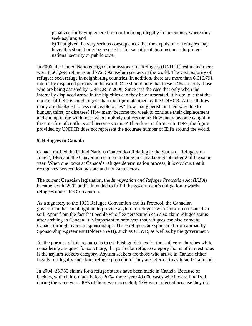penalized for having entered into or for being illegally in the country where they seek asylum; and

6) That given the very serious consequences that the expulsion of refugees may have, this should only be resorted to in exceptional circumstances to protect national security or public order;

In 2006, the United Nations High Commissioner for Refugees (UNHCR) estimated there were 8,661,994 refugees and 772, 592 asylum seekers in the world. The vast majority of refugees seek refuge in neighboring countries. In addition, there are more than 6,616,791 internally displaced persons in the world. One should note that these IDPs are only those who are being assisted by UNHCR in 2006. Since it is the case that only when the internally displaced arrive in the big cities can they be enumerated, it is obvious that the number of IDPs is much bigger than the figure obtained by the UNHCR. After all, how many are displaced to less noticeable zones? How many perish on their way due to hunger, thirst, or diseases? How many become too weak to continue their displacement and end up in the wilderness where nobody notices them? How many become caught in the crossfire of conflicts and become victims? Therefore, in fairness to IDPs, the figure provided by UNHCR does not represent the accurate number of IDPs around the world.

#### **5. Refugees in Canada**

Canada ratified the United Nations Convention Relating to the Status of Refugees on June 2, 1965 and the Convention came into force in Canada on September 2 of the same year. When one looks at Canada's refugee determination process, it is obvious that it recognizes persecution by state and non-state actors.

The current Canadian legislation*,* the *Immigration and Refugee Protection Act (IRPA*) became law in 2002 and is intended to fulfill the government's obligation towards refugees under this Convention.

As a signatory to the 1951 Refugee Convention and its Protocol, the Canadian government has an obligation to provide asylum to refugees who show up on Canadian soil. Apart from the fact that people who flee persecution can also claim refugee status after arriving in Canada, it is important to note here that refugees can also come to Canada through overseas sponsorships. These refugees are sponsored from abroad by Sponsorship Agreement Holders (SAH), such as CLWR, as well as by the government.

As the purpose of this resource is to establish guidelines for the Lutheran churches while considering a request for sanctuary, the particular refugee category that is of interest to us is the asylum seekers category. Asylum seekers are those who arrive in Canada either legally or illegally and claim refugee protection. They are referred to as Inland Claimants.

In 2004, 25,750 claims for a refugee status have been made in Canada. Because of backlog with claims made before 2004, there were 40,000 cases which were finalized during the same year. 40% of these were accepted; 47% were rejected because they did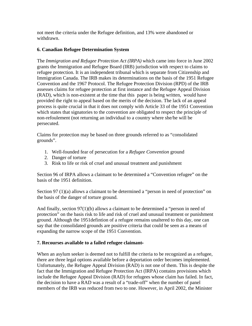not meet the criteria under the Refugee definition, and 13% were abandoned or withdrawn.

# **6. Canadian Refugee Determination System**

The *Immigration and Refugee Protection Act (IRPA)* which came into force in June 2002 grants the Immigration and Refugee Board (IRB) jurisdiction with respect to claims to refugee protection. It is an independent tribunal which is separate from Citizenship and Immigration Canada. The IRB makes its determinations on the basis of the 1951 Refugee Convention and the 1967 Protocol. The Refugee Protection Division (RPD) of the IRB assesses claims for refugee protection at first instance and the Refugee Appeal Division (RAD), which is non-existent at the time that this paper is being written, would have provided the right to appeal based on the merits of the decision. The lack of an appeal process is quite crucial in that it does not comply with Article 33 of the 1951 Convention which states that signatories to the convention are obligated to respect the principle of non-refoulement (not returning an individual to a country where she/he will be persecuted.

Claims for protection may be based on three grounds referred to as "consolidated grounds".

- 1. Well-founded fear of persecution for a *Refugee Convention* ground
- 2. Danger of torture
- 3. Risk to life or risk of cruel and unusual treatment and punishment

Section 96 of IRPA allows a claimant to be determined a "Convention refugee" on the basis of the 1951 definition.

Section 97 (1)(a) allows a claimant to be determined a "person in need of protection" on the basis of the danger of torture ground.

And finally, section 97(1)(b) allows a claimant to be determined a "person in need of protection" on the basis risk to life and risk of cruel and unusual treatment or punishment ground. Although the 1951defintion of a refugee remains unaltered to this day, one can say that the consolidated grounds are positive criteria that could be seen as a means of expanding the narrow scope of the 1951 Convention.

## **7. Recourses available to a failed refugee claimant**

When an asylum seeker is deemed not to fulfill the criteria to be recognized as a refugee, there are three legal options available before a deportation order becomes implemented. Unfortunately, the Refugee Appeal Division (RAD) is not one of them. This is despite the fact that the Immigration and Refugee Protection Act (IRPA) contains provisions which include the Refugee Appeal Division (RAD) for refugees whose claim has failed. In fact, the decision to have a RAD was a result of a "trade-off" when the number of panel members of the IRB was reduced from two to one. However, in April 2002, the Minister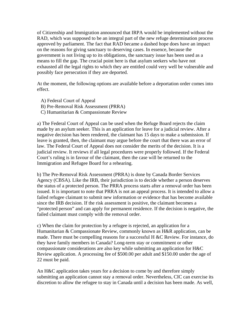of Citizenship and Immigration announced that IRPA would be implemented without the RAD, which was supposed to be an integral part of the new refuge determination process approved by parliament. The fact that RAD became a dashed hope does have an impact on the reasons for giving sanctuary to deserving cases. In essence, because the government is not living up to its obligations, the sanctuary issue has been used as a means to fill the gap. The crucial point here is that asylum seekers who have not exhausted all the legal rights to which they are entitled could very well be vulnerable and possibly face persecution if they are deported.

At the moment, the following options are available before a deportation order comes into effect.

- A) Federal Court of Appeal
- B) Pre-Removal Risk Assessment (PRRA)
- C) Humanitarian & Compassionate Review

a) The Federal Court of Appeal can be used when the Refuge Board rejects the claim made by an asylum seeker. This is an application for leave for a judicial review. After a negative decision has been rendered, the claimant has 15 days to make a submission. If leave is granted, then, the claimant may argue before the court that there was an error of law. The Federal Court of Appeal does not consider the merits of the decision. It is a judicial review. It reviews if all legal procedures were properly followed. If the Federal Court's ruling is in favour of the claimant, then the case will be returned to the Immigration and Refugee Board for a rehearing.

b) The Pre-Removal Risk Assessment (PRRA) is done by Canada Border Services Agency (CBSA). Like the IRB, their jurisdiction is to decide whether a person deserves the status of a protected person. The PRRA process starts after a removal order has been issued. It is important to note that PRRA is not an appeal process. It is intended to allow a failed refugee claimant to submit new information or evidence that has become available since the IRB decision. If the risk assessment is positive, the claimant becomes a "protected person" and can apply for permanent residence. If the decision is negative, the failed claimant must comply with the removal order.

c) When the claim for protection by a refugee is rejected, an application for a Humanitarian & Compassionate Review, commonly known as H&R application, can be made. There must be compelling reasons for a successful H &C Review. For instance, do they have family members in Canada? Long-term stay or commitment or other compassionate considerations are also key while submitting an application for H&C Review application. A processing fee of \$500.00 per adult and \$150.00 under the age of 22 must be paid.

An H&C application takes years for a decision to come by and therefore simply submitting an application cannot stay a removal order. Nevertheless, CIC can exercise its discretion to allow the refugee to stay in Canada until a decision has been made. As well,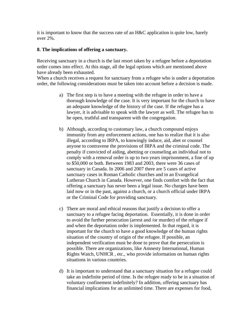it is important to know that the success rate of an H&C application is quite low, barely over 2%.

### **8. The implications of offering a sanctuary.**

Receiving sanctuary in a church is the last resort taken by a refugee before a deportation order comes into effect. At this stage, all the legal options which are mentioned above have already been exhausted.

When a church receives a request for sanctuary from a refugee who is under a deportation order, the following considerations must be taken into account before a decision is made.

- a) The first step is to have a meeting with the refugee in order to have a thorough knowledge of the case. It is very important for the church to have an adequate knowledge of the history of the case. If the refugee has a lawyer, it is advisable to speak with the lawyer as well. The refugee has to be open, truthful and transparent with the congregation.
- b) Although, according to customary law, a church compound enjoys immunity from any enforcement actions, one has to realize that it is also illegal, according to IRPA, to knowingly induce, aid, abet or counsel anyone to contravene the provisions of IRPA and the criminal code. The penalty if convicted of aiding, abetting or counseling an individual not to comply with a removal order is up to two years imprisonment, a fine of up to \$50,000 or both. Between 1983 and 2003, there were 36 cases of sanctuary in Canada. In 2006 and 2007 there are 5 cases of active sanctuary cases in Roman Catholic churches and in an Evangelical Lutheran Church in Canada. However, one finds comfort with the fact that offering a sanctuary has never been a legal issue. No charges have been laid now or in the past, against a church, or a church official under IRPA or the Criminal Code for providing sanctuary.
- c) There are moral and ethical reasons that justify a decision to offer a sanctuary to a refugee facing deportation. Essentially, it is done in order to avoid the further persecution (arrest and /or murder) of the refugee if and when the deportation order is implemented. In that regard, it is important for the church to have a good knowledge of the human rights situation of the country of origin of the refugee. If possible, an independent verification must be done to prove that the persecution is possible. There are organizations, like Amnesty International, Human Rights Watch, UNHCR , etc., who provide information on human rights situations in various countries.
- d) It is important to understand that a sanctuary situation for a refugee could take an indefinite period of time. Is the refugee ready to be in a situation of voluntary confinement indefinitely? In addition, offering sanctuary has financial implications for an unlimited time. There are expenses for food,